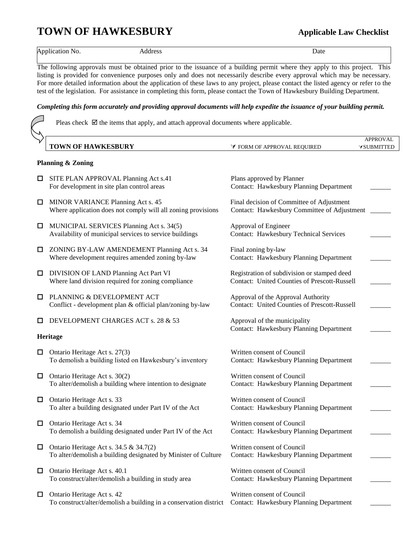# **TOWN OF HAWKESBURY Applicable Law Checklist**

Application No. 2012 Address Address And American Contract Address Address Address Application No.

The following approvals must be obtained prior to the issuance of a building permit where they apply to this project. This listing is provided for convenience purposes only and does not necessarily describe every approval which may be necessary. For more detailed information about the application of these laws to any project, please contact the listed agency or refer to the test of the legislation. For assistance in completing this form, please contact the Town of Hawkesbury Building Department.

# *Completing this form accurately and providing approval documents will help expedite the issuance of your building permit.*

Pleas check  $\boxtimes$  the items that apply, and attach approval documents where applicable.

|                                                            |                                                                                                          |                                                                                                    | <b>APPROVAL</b>   |
|------------------------------------------------------------|----------------------------------------------------------------------------------------------------------|----------------------------------------------------------------------------------------------------|-------------------|
|                                                            | <b>TOWN OF HAWKESBURY</b>                                                                                | <b>∀ FORM OF APPROVAL REQUIRED</b>                                                                 | <b>VSUBMITTED</b> |
| <b>Planning &amp; Zoning</b>                               |                                                                                                          |                                                                                                    |                   |
| $\Box$                                                     | SITE PLAN APPROVAL Planning Act s.41<br>For development in site plan control areas                       | Plans approved by Planner<br><b>Contact: Hawkesbury Planning Department</b>                        |                   |
| □                                                          | MINOR VARIANCE Planning Act s. 45<br>Where application does not comply will all zoning provisions        | Final decision of Committee of Adjustment<br>Contact: Hawkesbury Committee of Adjustment           |                   |
| $\Box$                                                     | MUNICIPAL SERVICES Planning Act s. 34(5)<br>Availability of municipal services to service buildings      | Approval of Engineer<br><b>Contact: Hawkesbury Technical Services</b>                              |                   |
| □                                                          | ZONING BY-LAW AMENDEMENT Planning Act s. 34<br>Where development requires amended zoning by-law          | Final zoning by-law<br>Contact: Hawkesbury Planning Department                                     |                   |
| ⊔                                                          | DIVISION OF LAND Planning Act Part VI<br>Where land division required for zoning compliance              | Registration of subdivision or stamped deed<br><b>Contact: United Counties of Prescott-Russell</b> |                   |
| □                                                          | PLANNING & DEVELOPMENT ACT<br>Conflict - development plan & official plan/zoning by-law                  | Approval of the Approval Authority<br><b>Contact: United Counties of Prescott-Russell</b>          |                   |
| $\Box$                                                     | DEVELOPMENT CHARGES ACT s. 28 & 53                                                                       | Approval of the municipality                                                                       |                   |
| <b>Contact: Hawkesbury Planning Department</b><br>Heritage |                                                                                                          |                                                                                                    |                   |
| □                                                          | Ontario Heritage Act s. 27(3)<br>To demolish a building listed on Hawkesbury's inventory                 | Written consent of Council<br><b>Contact: Hawkesbury Planning Department</b>                       |                   |
| $\Box$                                                     | Ontario Heritage Act s. 30(2)<br>To alter/demolish a building where intention to designate               | Written consent of Council<br>Contact: Hawkesbury Planning Department                              |                   |
| $\Box$                                                     | Ontario Heritage Act s. 33<br>To alter a building designated under Part IV of the Act                    | Written consent of Council<br>Contact: Hawkesbury Planning Department                              |                   |
| □                                                          | Ontario Heritage Act s. 34<br>To demolish a building designated under Part IV of the Act                 | Written consent of Council<br>Contact: Hawkesbury Planning Department                              |                   |
| □                                                          | Ontario Heritage Act s. 34.5 & 34.7(2)<br>To alter/demolish a building designated by Minister of Culture | Written consent of Council<br>Contact: Hawkesbury Planning Department                              |                   |
| □                                                          | Ontario Heritage Act s. 40.1<br>To construct/alter/demolish a building in study area                     | Written consent of Council<br>Contact: Hawkesbury Planning Department                              |                   |
| $\Box$                                                     | Ontario Heritage Act s. 42<br>To construct/alter/demolish a building in a conservation district          | Written consent of Council<br>Contact: Hawkesbury Planning Department                              |                   |
|                                                            |                                                                                                          |                                                                                                    |                   |